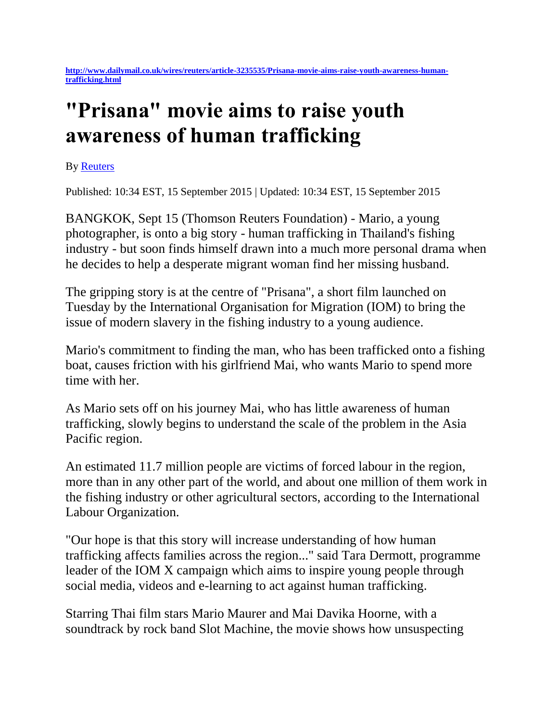## **"Prisana" movie aims to raise youth awareness of human trafficking**

By [Reuters](http://www.dailymail.co.uk/home/search.html?s=&authornamef=Reuters)

Published: 10:34 EST, 15 September 2015 | Updated: 10:34 EST, 15 September 2015

BANGKOK, Sept 15 (Thomson Reuters Foundation) - Mario, a young photographer, is onto a big story - human trafficking in Thailand's fishing industry - but soon finds himself drawn into a much more personal drama when he decides to help a desperate migrant woman find her missing husband.

The gripping story is at the centre of "Prisana", a short film launched on Tuesday by the International Organisation for Migration (IOM) to bring the issue of modern slavery in the fishing industry to a young audience.

Mario's commitment to finding the man, who has been trafficked onto a fishing boat, causes friction with his girlfriend Mai, who wants Mario to spend more time with her.

As Mario sets off on his journey Mai, who has little awareness of human trafficking, slowly begins to understand the scale of the problem in the Asia Pacific region.

An estimated 11.7 million people are victims of forced labour in the region, more than in any other part of the world, and about one million of them work in the fishing industry or other agricultural sectors, according to the International Labour Organization.

"Our hope is that this story will increase understanding of how human trafficking affects families across the region..." said Tara Dermott, programme leader of the IOM X campaign which aims to inspire young people through social media, videos and e-learning to act against human trafficking.

Starring Thai film stars Mario Maurer and Mai Davika Hoorne, with a soundtrack by rock band Slot Machine, the movie shows how unsuspecting